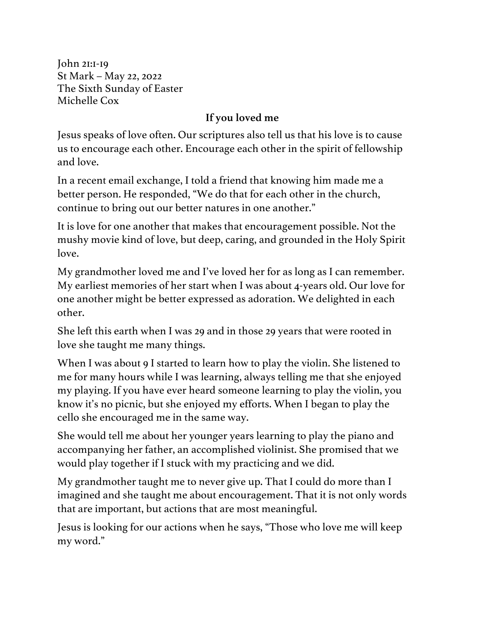John 21:1-19 St Mark – May 22, 2022 The Sixth Sunday of Easter Michelle Cox

## **If you loved me**

Jesus speaks of love often. Our scriptures also tell us that his love is to cause us to encourage each other. Encourage each other in the spirit of fellowship and love.

In a recent email exchange, I told a friend that knowing him made me a better person. He responded, "We do that for each other in the church, continue to bring out our better natures in one another."

It is love for one another that makes that encouragement possible. Not the mushy movie kind of love, but deep, caring, and grounded in the Holy Spirit love.

My grandmother loved me and I've loved her for as long as I can remember. My earliest memories of her start when I was about 4-years old. Our love for one another might be better expressed as adoration. We delighted in each other.

She left this earth when I was 29 and in those 29 years that were rooted in love she taught me many things.

When I was about 9 I started to learn how to play the violin. She listened to me for many hours while I was learning, always telling me that she enjoyed my playing. If you have ever heard someone learning to play the violin, you know it's no picnic, but she enjoyed my efforts. When I began to play the cello she encouraged me in the same way.

She would tell me about her younger years learning to play the piano and accompanying her father, an accomplished violinist. She promised that we would play together if I stuck with my practicing and we did.

My grandmother taught me to never give up. That I could do more than I imagined and she taught me about encouragement. That it is not only words that are important, but actions that are most meaningful.

Jesus is looking for our actions when he says, "Those who love me will keep my word."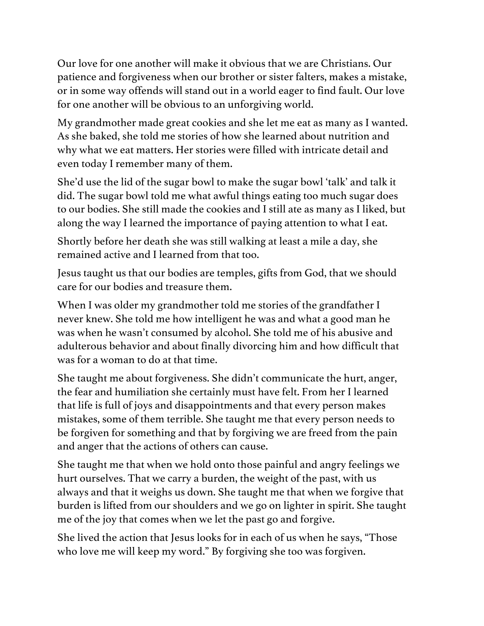Our love for one another will make it obvious that we are Christians. Our patience and forgiveness when our brother or sister falters, makes a mistake, or in some way offends will stand out in a world eager to find fault. Our love for one another will be obvious to an unforgiving world.

My grandmother made great cookies and she let me eat as many as I wanted. As she baked, she told me stories of how she learned about nutrition and why what we eat matters. Her stories were filled with intricate detail and even today I remember many of them.

She'd use the lid of the sugar bowl to make the sugar bowl 'talk' and talk it did. The sugar bowl told me what awful things eating too much sugar does to our bodies. She still made the cookies and I still ate as many as I liked, but along the way I learned the importance of paying attention to what I eat.

Shortly before her death she was still walking at least a mile a day, she remained active and I learned from that too.

Jesus taught us that our bodies are temples, gifts from God, that we should care for our bodies and treasure them.

When I was older my grandmother told me stories of the grandfather I never knew. She told me how intelligent he was and what a good man he was when he wasn't consumed by alcohol. She told me of his abusive and adulterous behavior and about finally divorcing him and how difficult that was for a woman to do at that time.

She taught me about forgiveness. She didn't communicate the hurt, anger, the fear and humiliation she certainly must have felt. From her I learned that life is full of joys and disappointments and that every person makes mistakes, some of them terrible. She taught me that every person needs to be forgiven for something and that by forgiving we are freed from the pain and anger that the actions of others can cause.

She taught me that when we hold onto those painful and angry feelings we hurt ourselves. That we carry a burden, the weight of the past, with us always and that it weighs us down. She taught me that when we forgive that burden is lifted from our shoulders and we go on lighter in spirit. She taught me of the joy that comes when we let the past go and forgive.

She lived the action that Jesus looks for in each of us when he says, "Those who love me will keep my word." By forgiving she too was forgiven.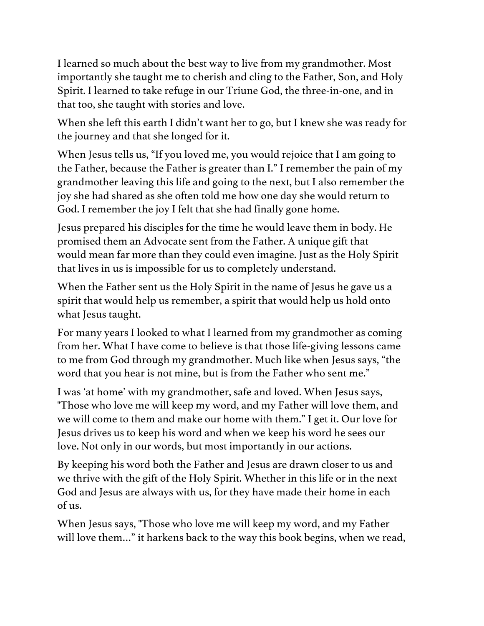I learned so much about the best way to live from my grandmother. Most importantly she taught me to cherish and cling to the Father, Son, and Holy Spirit. I learned to take refuge in our Triune God, the three-in-one, and in that too, she taught with stories and love.

When she left this earth I didn't want her to go, but I knew she was ready for the journey and that she longed for it.

When Jesus tells us, "If you loved me, you would rejoice that I am going to the Father, because the Father is greater than I." I remember the pain of my grandmother leaving this life and going to the next, but I also remember the joy she had shared as she often told me how one day she would return to God. I remember the joy I felt that she had finally gone home.

Jesus prepared his disciples for the time he would leave them in body. He promised them an Advocate sent from the Father. A unique gift that would mean far more than they could even imagine. Just as the Holy Spirit that lives in us is impossible for us to completely understand.

When the Father sent us the Holy Spirit in the name of Jesus he gave us a spirit that would help us remember, a spirit that would help us hold onto what Jesus taught.

For many years I looked to what I learned from my grandmother as coming from her. What I have come to believe is that those life-giving lessons came to me from God through my grandmother. Much like when Jesus says, "the word that you hear is not mine, but is from the Father who sent me."

I was 'at home' with my grandmother, safe and loved. When Jesus says, "Those who love me will keep my word, and my Father will love them, and we will come to them and make our home with them." I get it. Our love for Jesus drives us to keep his word and when we keep his word he sees our love. Not only in our words, but most importantly in our actions.

By keeping his word both the Father and Jesus are drawn closer to us and we thrive with the gift of the Holy Spirit. Whether in this life or in the next God and Jesus are always with us, for they have made their home in each of us.

When Jesus says, "Those who love me will keep my word, and my Father will love them..." it harkens back to the way this book begins, when we read,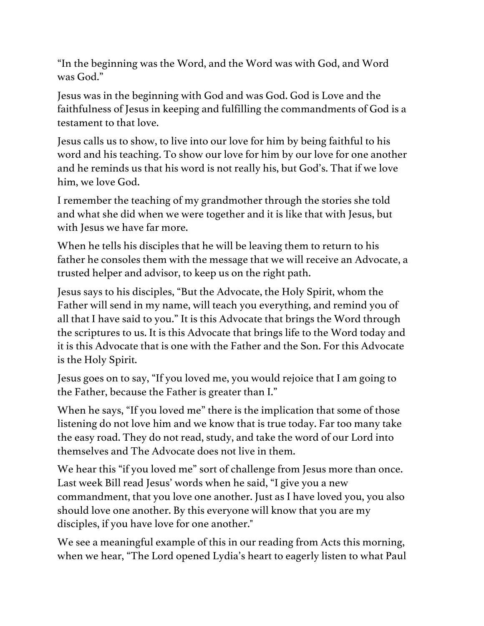"In the beginning was the Word, and the Word was with God, and Word was God."

Jesus was in the beginning with God and was God. God is Love and the faithfulness of Jesus in keeping and fulfilling the commandments of God is a testament to that love.

Jesus calls us to show, to live into our love for him by being faithful to his word and his teaching. To show our love for him by our love for one another and he reminds us that his word is not really his, but God's. That if we love him, we love God.

I remember the teaching of my grandmother through the stories she told and what she did when we were together and it is like that with Jesus, but with Jesus we have far more.

When he tells his disciples that he will be leaving them to return to his father he consoles them with the message that we will receive an Advocate, a trusted helper and advisor, to keep us on the right path.

Jesus says to his disciples, "But the Advocate, the Holy Spirit, whom the Father will send in my name, will teach you everything, and remind you of all that I have said to you." It is this Advocate that brings the Word through the scriptures to us. It is this Advocate that brings life to the Word today and it is this Advocate that is one with the Father and the Son. For this Advocate is the Holy Spirit.

Jesus goes on to say, "If you loved me, you would rejoice that I am going to the Father, because the Father is greater than I."

When he says, "If you loved me" there is the implication that some of those listening do not love him and we know that is true today. Far too many take the easy road. They do not read, study, and take the word of our Lord into themselves and The Advocate does not live in them.

We hear this "if you loved me" sort of challenge from Jesus more than once. Last week Bill read Jesus' words when he said, "I give you a new commandment, that you love one another. Just as I have loved you, you also should love one another. By this everyone will know that you are my disciples, if you have love for one another."

We see a meaningful example of this in our reading from Acts this morning, when we hear, "The Lord opened Lydia's heart to eagerly listen to what Paul